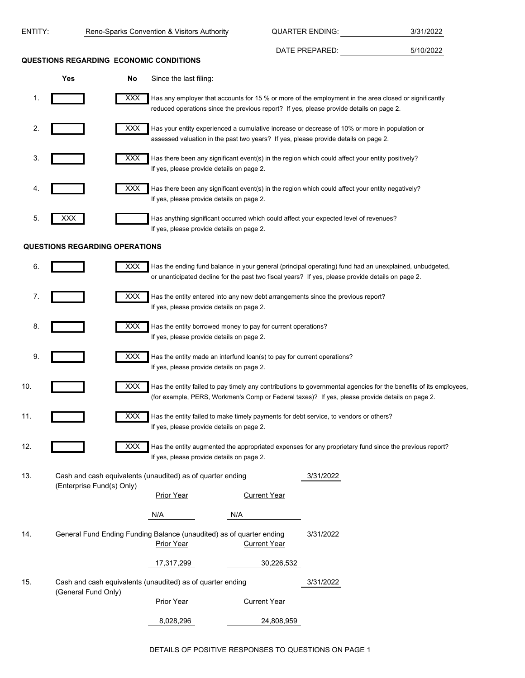| ENTITY: |                                       |            | Reno-Sparks Convention & Visitors Authority                                                                                                                                          |                     | <b>QUARTER ENDING:</b> |           | 3/31/2022                                                                                                         |  |
|---------|---------------------------------------|------------|--------------------------------------------------------------------------------------------------------------------------------------------------------------------------------------|---------------------|------------------------|-----------|-------------------------------------------------------------------------------------------------------------------|--|
|         |                                       |            | QUESTIONS REGARDING ECONOMIC CONDITIONS                                                                                                                                              |                     | DATE PREPARED:         |           | 5/10/2022                                                                                                         |  |
|         | <b>Yes</b>                            | No         | Since the last filing:                                                                                                                                                               |                     |                        |           |                                                                                                                   |  |
| 1.      |                                       | <b>XXX</b> | reduced operations since the previous report? If yes, please provide details on page 2.                                                                                              |                     |                        |           | Has any employer that accounts for 15 % or more of the employment in the area closed or significantly             |  |
| 2.      |                                       | XXX        | Has your entity experienced a cumulative increase or decrease of 10% or more in population or<br>assessed valuation in the past two years? If yes, please provide details on page 2. |                     |                        |           |                                                                                                                   |  |
| 3.      |                                       | <b>XXX</b> | Has there been any significant event(s) in the region which could affect your entity positively?<br>If yes, please provide details on page 2.                                        |                     |                        |           |                                                                                                                   |  |
| 4.      |                                       | XXX        | Has there been any significant event(s) in the region which could affect your entity negatively?<br>If yes, please provide details on page 2.                                        |                     |                        |           |                                                                                                                   |  |
| 5.      | XXX                                   |            | Has anything significant occurred which could affect your expected level of revenues?<br>If yes, please provide details on page 2.                                                   |                     |                        |           |                                                                                                                   |  |
|         | <b>QUESTIONS REGARDING OPERATIONS</b> |            |                                                                                                                                                                                      |                     |                        |           |                                                                                                                   |  |
| 6.      |                                       | <b>XXX</b> | or unanticipated decline for the past two fiscal years? If yes, please provide details on page 2.                                                                                    |                     |                        |           | Has the ending fund balance in your general (principal operating) fund had an unexplained, unbudgeted,            |  |
| 7.      |                                       | <b>XXX</b> | Has the entity entered into any new debt arrangements since the previous report?<br>If yes, please provide details on page 2.                                                        |                     |                        |           |                                                                                                                   |  |
| 8.      |                                       | <b>XXX</b> | Has the entity borrowed money to pay for current operations?<br>If yes, please provide details on page 2.                                                                            |                     |                        |           |                                                                                                                   |  |
| 9.      |                                       | <b>XXX</b> | Has the entity made an interfund loan(s) to pay for current operations?<br>If yes, please provide details on page 2.                                                                 |                     |                        |           |                                                                                                                   |  |
| 10.     |                                       | <b>XXX</b> | (for example, PERS, Workmen's Comp or Federal taxes)? If yes, please provide details on page 2.                                                                                      |                     |                        |           | Has the entity failed to pay timely any contributions to governmental agencies for the benefits of its employees, |  |
| 11.     |                                       | <b>XXX</b> | Has the entity failed to make timely payments for debt service, to vendors or others?<br>If yes, please provide details on page 2.                                                   |                     |                        |           |                                                                                                                   |  |
| 12.     |                                       | <b>XXX</b> | If yes, please provide details on page 2.                                                                                                                                            |                     |                        |           | Has the entity augmented the appropriated expenses for any proprietary fund since the previous report?            |  |
| 13.     |                                       |            | Cash and cash equivalents (unaudited) as of quarter ending                                                                                                                           |                     |                        | 3/31/2022 |                                                                                                                   |  |
|         | (Enterprise Fund(s) Only)             |            | <b>Prior Year</b>                                                                                                                                                                    | <b>Current Year</b> |                        |           |                                                                                                                   |  |
|         |                                       |            | N/A                                                                                                                                                                                  | N/A                 |                        |           |                                                                                                                   |  |
| 14.     |                                       |            | General Fund Ending Funding Balance (unaudited) as of quarter ending<br><b>Prior Year</b>                                                                                            | <b>Current Year</b> |                        | 3/31/2022 |                                                                                                                   |  |
|         |                                       |            | 17,317,299                                                                                                                                                                           |                     | 30,226,532             |           |                                                                                                                   |  |
| 15.     | (General Fund Only)                   |            | Cash and cash equivalents (unaudited) as of quarter ending                                                                                                                           |                     |                        | 3/31/2022 |                                                                                                                   |  |
|         |                                       |            | <b>Prior Year</b>                                                                                                                                                                    | <b>Current Year</b> |                        |           |                                                                                                                   |  |
|         |                                       |            | 8,028,296                                                                                                                                                                            |                     | 24,808,959             |           |                                                                                                                   |  |

## DETAILS OF POSITIVE RESPONSES TO QUESTIONS ON PAGE 1